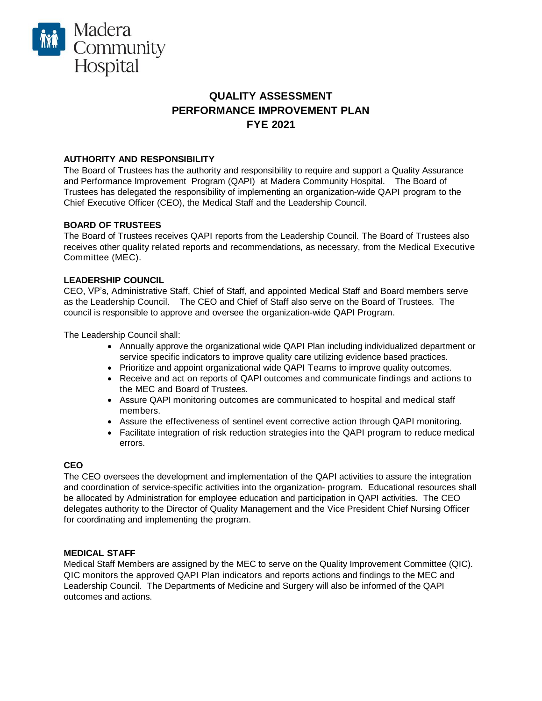

# **QUALITY ASSESSMENT PERFORMANCE IMPROVEMENT PLAN FYE 2021**

# **AUTHORITY AND RESPONSIBILITY**

The Board of Trustees has the authority and responsibility to require and support a Quality Assurance and Performance Improvement Program (QAPI) at Madera Community Hospital. The Board of Trustees has delegated the responsibility of implementing an organization-wide QAPI program to the Chief Executive Officer (CEO), the Medical Staff and the Leadership Council.

# **BOARD OF TRUSTEES**

The Board of Trustees receives QAPI reports from the Leadership Council. The Board of Trustees also receives other quality related reports and recommendations, as necessary, from the Medical Executive Committee (MEC).

# **LEADERSHIP COUNCIL**

CEO, VP's, Administrative Staff, Chief of Staff, and appointed Medical Staff and Board members serve as the Leadership Council. The CEO and Chief of Staff also serve on the Board of Trustees. The council is responsible to approve and oversee the organization-wide QAPI Program.

The Leadership Council shall:

- Annually approve the organizational wide QAPI Plan including individualized department or service specific indicators to improve quality care utilizing evidence based practices.
- Prioritize and appoint organizational wide QAPI Teams to improve quality outcomes.
- Receive and act on reports of QAPI outcomes and communicate findings and actions to the MEC and Board of Trustees.
- Assure QAPI monitoring outcomes are communicated to hospital and medical staff members.
- Assure the effectiveness of sentinel event corrective action through QAPI monitoring.
- Facilitate integration of risk reduction strategies into the QAPI program to reduce medical errors.

# **CEO**

The CEO oversees the development and implementation of the QAPI activities to assure the integration and coordination of service-specific activities into the organization- program. Educational resources shall be allocated by Administration for employee education and participation in QAPI activities. The CEO delegates authority to the Director of Quality Management and the Vice President Chief Nursing Officer for coordinating and implementing the program.

# **MEDICAL STAFF**

Medical Staff Members are assigned by the MEC to serve on the Quality Improvement Committee (QIC). QIC monitors the approved QAPI Plan indicators and reports actions and findings to the MEC and Leadership Council. The Departments of Medicine and Surgery will also be informed of the QAPI outcomes and actions.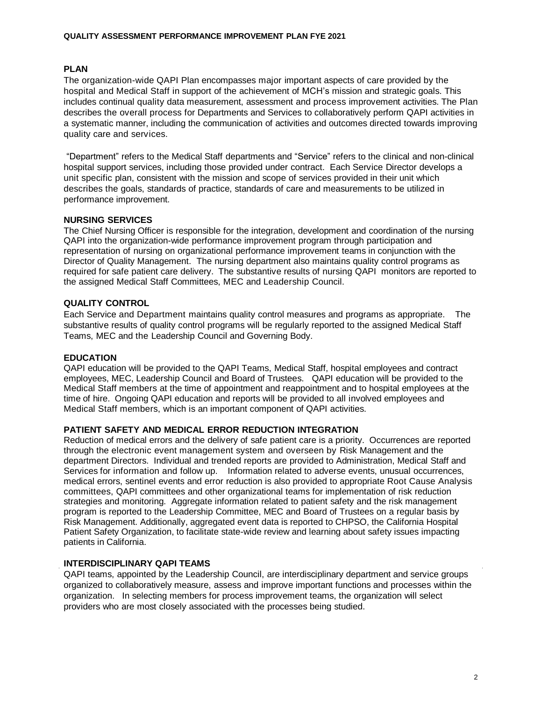# **PLAN**

The organization-wide QAPI Plan encompasses major important aspects of care provided by the hospital and Medical Staff in support of the achievement of MCH's mission and strategic goals. This includes continual quality data measurement, assessment and process improvement activities. The Plan describes the overall process for Departments and Services to collaboratively perform QAPI activities in a systematic manner, including the communication of activities and outcomes directed towards improving quality care and services.

"Department" refers to the Medical Staff departments and "Service" refers to the clinical and non-clinical hospital support services, including those provided under contract. Each Service Director develops a unit specific plan, consistent with the mission and scope of services provided in their unit which describes the goals, standards of practice, standards of care and measurements to be utilized in performance improvement.

# **NURSING SERVICES**

The Chief Nursing Officer is responsible for the integration, development and coordination of the nursing QAPI into the organization-wide performance improvement program through participation and representation of nursing on organizational performance improvement teams in conjunction with the Director of Quality Management. The nursing department also maintains quality control programs as required for safe patient care delivery. The substantive results of nursing QAPI monitors are reported to the assigned Medical Staff Committees, MEC and Leadership Council.

# **QUALITY CONTROL**

Each Service and Department maintains quality control measures and programs as appropriate. The substantive results of quality control programs will be regularly reported to the assigned Medical Staff Teams, MEC and the Leadership Council and Governing Body.

### **EDUCATION**

QAPI education will be provided to the QAPI Teams, Medical Staff, hospital employees and contract employees, MEC, Leadership Council and Board of Trustees. QAPI education will be provided to the Medical Staff members at the time of appointment and reappointment and to hospital employees at the time of hire. Ongoing QAPI education and reports will be provided to all involved employees and Medical Staff members, which is an important component of QAPI activities.

### **PATIENT SAFETY AND MEDICAL ERROR REDUCTION INTEGRATION**

Reduction of medical errors and the delivery of safe patient care is a priority. Occurrences are reported through the electronic event management system and overseen by Risk Management and the department Directors. Individual and trended reports are provided to Administration, Medical Staff and Services for information and follow up. Information related to adverse events, unusual occurrences, medical errors, sentinel events and error reduction is also provided to appropriate Root Cause Analysis committees, QAPI committees and other organizational teams for implementation of risk reduction strategies and monitoring. Aggregate information related to patient safety and the risk management program is reported to the Leadership Committee, MEC and Board of Trustees on a regular basis by Risk Management. Additionally, aggregated event data is reported to CHPSO, the California Hospital Patient Safety Organization, to facilitate state-wide review and learning about safety issues impacting patients in California.

### **INTERDISCIPLINARY QAPI TEAMS**

QAPI teams, appointed by the Leadership Council, are interdisciplinary department and service groups organized to collaboratively measure, assess and improve important functions and processes within the organization. In selecting members for process improvement teams, the organization will select providers who are most closely associated with the processes being studied.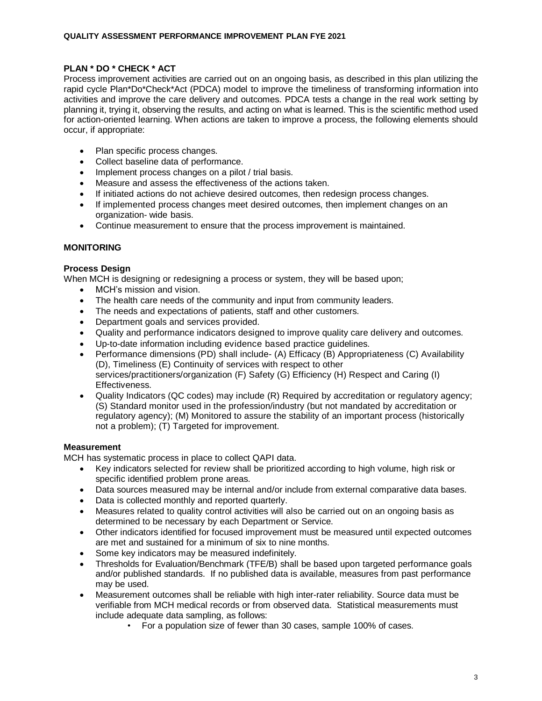# **PLAN \* DO \* CHECK \* ACT**

Process improvement activities are carried out on an ongoing basis, as described in this plan utilizing the rapid cycle Plan\*Do\*Check\*Act (PDCA) model to improve the timeliness of transforming information into activities and improve the care delivery and outcomes. PDCA tests a change in the real work setting by planning it, trying it, observing the results, and acting on what is learned. This is the scientific method used for action-oriented learning. When actions are taken to improve a process, the following elements should occur, if appropriate:

- Plan specific process changes.
- Collect baseline data of performance.
- Implement process changes on a pilot / trial basis.
- Measure and assess the effectiveness of the actions taken.
- If initiated actions do not achieve desired outcomes, then redesign process changes.
- If implemented process changes meet desired outcomes, then implement changes on an organization- wide basis.
- Continue measurement to ensure that the process improvement is maintained.

# **MONITORING**

### **Process Design**

When MCH is designing or redesigning a process or system, they will be based upon;

- MCH's mission and vision.
- The health care needs of the community and input from community leaders.
- The needs and expectations of patients, staff and other customers.
- Department goals and services provided.
- Quality and performance indicators designed to improve quality care delivery and outcomes.
- Up-to-date information including evidence based practice guidelines.
- Performance dimensions (PD) shall include- (A) Efficacy (B) Appropriateness (C) Availability (D), Timeliness (E) Continuity of services with respect to other services/practitioners/organization (F) Safety (G) Efficiency (H) Respect and Caring (I) Effectiveness.
- Quality Indicators (QC codes) may include (R) Required by accreditation or regulatory agency; (S) Standard monitor used in the profession/industry (but not mandated by accreditation or regulatory agency); (M) Monitored to assure the stability of an important process (historically not a problem); (T) Targeted for improvement.

### **Measurement**

MCH has systematic process in place to collect QAPI data.

- Key indicators selected for review shall be prioritized according to high volume, high risk or specific identified problem prone areas.
- Data sources measured may be internal and/or include from external comparative data bases.
- Data is collected monthly and reported quarterly.
- Measures related to quality control activities will also be carried out on an ongoing basis as determined to be necessary by each Department or Service.
- Other indicators identified for focused improvement must be measured until expected outcomes are met and sustained for a minimum of six to nine months.
- Some key indicators may be measured indefinitely.
- Thresholds for Evaluation/Benchmark (TFE/B) shall be based upon targeted performance goals and/or published standards. If no published data is available, measures from past performance may be used.
- Measurement outcomes shall be reliable with high inter-rater reliability. Source data must be verifiable from MCH medical records or from observed data. Statistical measurements must include adequate data sampling, as follows:
	- For a population size of fewer than 30 cases, sample 100% of cases.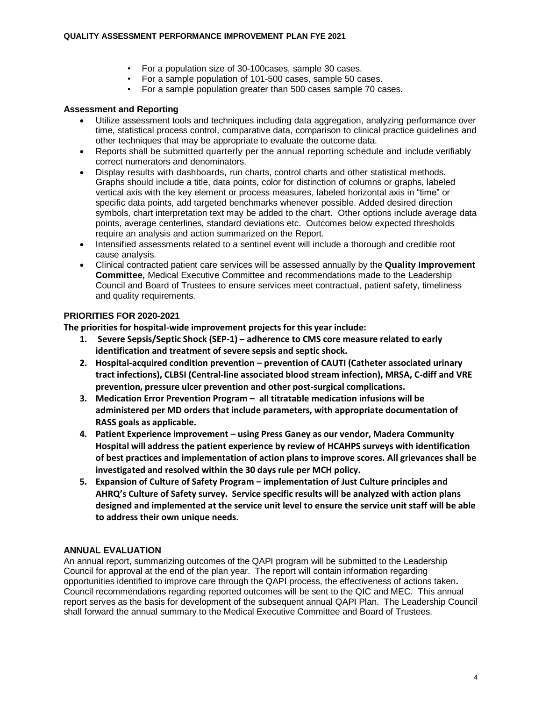- For a population size of 30-100cases, sample 30 cases.
- For a sample population of 101-500 cases, sample 50 cases.
- For a sample population greater than 500 cases sample 70 cases.

# **Assessment and Reporting**

- Utilize assessment tools and techniques including data aggregation, analyzing performance over time, statistical process control, comparative data, comparison to clinical practice guidelines and other techniques that may be appropriate to evaluate the outcome data.
- Reports shall be submitted quarterly per the annual reporting schedule and include verifiably correct numerators and denominators.
- Display results with dashboards, run charts, control charts and other statistical methods. Graphs should include a title, data points, color for distinction of columns or graphs, labeled vertical axis with the key element or process measures, labeled horizontal axis in "time" or specific data points, add targeted benchmarks whenever possible. Added desired direction symbols, chart interpretation text may be added to the chart. Other options include average data points, average centerlines, standard deviations etc. Outcomes below expected thresholds require an analysis and action summarized on the Report.
- Intensified assessments related to a sentinel event will include a thorough and credible root cause analysis.
- Clinical contracted patient care services will be assessed annually by the **Quality Improvement Committee,** Medical Executive Committee and recommendations made to the Leadership Council and Board of Trustees to ensure services meet contractual, patient safety, timeliness and quality requirements.

# **PRIORITIES FOR 2020-2021**

**The priorities for hospital-wide improvement projects for this year include:**

- **1. Severe Sepsis/Septic Shock (SEP-1) – adherence to CMS core measure related to early identification and treatment of severe sepsis and septic shock.**
- **2. Hospital-acquired condition prevention – prevention of CAUTI (Catheter associated urinary tract infections), CLBSI (Central-line associated blood stream infection), MRSA, C-diff and VRE prevention, pressure ulcer prevention and other post-surgical complications.**
- **3. Medication Error Prevention Program – all titratable medication infusions will be administered per MD orders that include parameters, with appropriate documentation of RASS goals as applicable.**
- **4. Patient Experience improvement – using Press Ganey as our vendor, Madera Community Hospital will address the patient experience by review of HCAHPS surveys with identification of best practices and implementation of action plans to improve scores. All grievances shall be investigated and resolved within the 30 days rule per MCH policy.**
- **5. Expansion of Culture of Safety Program – implementation of Just Culture principles and AHRQ's Culture of Safety survey. Service specific results will be analyzed with action plans designed and implemented at the service unit level to ensure the service unit staff will be able to address their own unique needs.**

# **ANNUAL EVALUATION**

An annual report, summarizing outcomes of the QAPI program will be submitted to the Leadership Council for approval at the end of the plan year. The report will contain information regarding opportunities identified to improve care through the QAPI process, the effectiveness of actions taken**.**  Council recommendations regarding reported outcomes will be sent to the QIC and MEC.This annual report serves as the basis for development of the subsequent annual QAPI Plan. The Leadership Council shall forward the annual summary to the Medical Executive Committee and Board of Trustees.